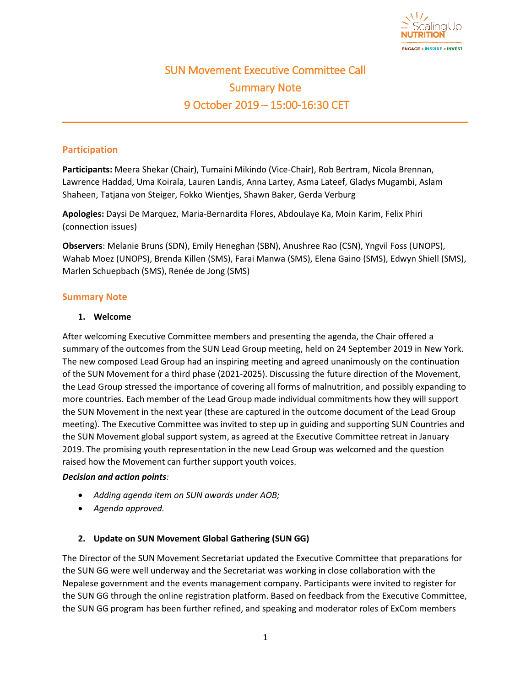

# SUN Movement Executive Committee Call Summary Note 9 October 2019 – 15:00-16:30 CET

## **Participation**

**Participants:** Meera Shekar (Chair), Tumaini Mikindo (Vice-Chair), Rob Bertram, Nicola Brennan, Lawrence Haddad, Uma Koirala, Lauren Landis, Anna Lartey, Asma Lateef, Gladys Mugambi, Aslam Shaheen, Tatjana von Steiger, Fokko Wientjes, Shawn Baker, Gerda Verburg

**Apologies:** Daysi De Marquez, Maria-Bernardita Flores, Abdoulaye Ka, Moin Karim, Felix Phiri (connection issues)

**Observers**: Melanie Bruns (SDN), Emily Heneghan (SBN), Anushree Rao (CSN), Yngvil Foss (UNOPS), Wahab Moez (UNOPS), Brenda Killen (SMS), Farai Manwa (SMS), Elena Gaino (SMS), Edwyn Shiell (SMS), Marlen Schuepbach (SMS), Renée de Jong (SMS)

#### **Summary Note**

#### **1. Welcome**

After welcoming Executive Committee members and presenting the agenda, the Chair offered a summary of the outcomes from the SUN Lead Group meeting, held on 24 September 2019 in New York. The new composed Lead Group had an inspiring meeting and agreed unanimously on the continuation of the SUN Movement for a third phase (2021-2025). Discussing the future direction of the Movement, the Lead Group stressed the importance of covering all forms of malnutrition, and possibly expanding to more countries. Each member of the Lead Group made individual commitments how they will support the SUN Movement in the next year (these are captured in the outcome document of the Lead Group meeting). The Executive Committee was invited to step up in guiding and supporting SUN Countries and the SUN Movement global support system, as agreed at the Executive Committee retreat in January 2019. The promising youth representation in the new Lead Group was welcomed and the question raised how the Movement can further support youth voices.

#### *Decision and action points:*

- *Adding agenda item on SUN awards under AOB;*
- *Agenda approved.*

#### **2. Update on SUN Movement Global Gathering (SUN GG)**

The Director of the SUN Movement Secretariat updated the Executive Committee that preparations for the SUN GG were well underway and the Secretariat was working in close collaboration with the Nepalese government and the events management company. Participants were invited to register for the SUN GG through the online registration platform. Based on feedback from the Executive Committee, the SUN GG program has been further refined, and speaking and moderator roles of ExCom members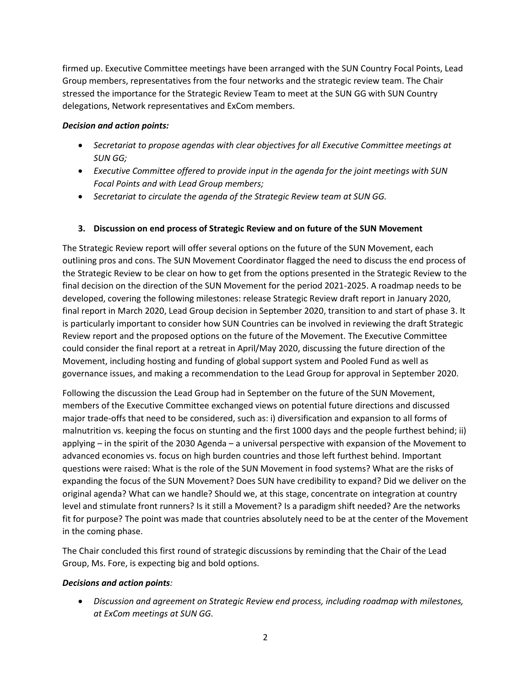firmed up. Executive Committee meetings have been arranged with the SUN Country Focal Points, Lead Group members, representatives from the four networks and the strategic review team. The Chair stressed the importance for the Strategic Review Team to meet at the SUN GG with SUN Country delegations, Network representatives and ExCom members.

## *Decision and action points:*

- *Secretariat to propose agendas with clear objectives for all Executive Committee meetings at SUN GG;*
- *Executive Committee offered to provide input in the agenda for the joint meetings with SUN Focal Points and with Lead Group members;*
- *Secretariat to circulate the agenda of the Strategic Review team at SUN GG.*

# **3. Discussion on end process of Strategic Review and on future of the SUN Movement**

The Strategic Review report will offer several options on the future of the SUN Movement, each outlining pros and cons. The SUN Movement Coordinator flagged the need to discuss the end process of the Strategic Review to be clear on how to get from the options presented in the Strategic Review to the final decision on the direction of the SUN Movement for the period 2021-2025. A roadmap needs to be developed, covering the following milestones: release Strategic Review draft report in January 2020, final report in March 2020, Lead Group decision in September 2020, transition to and start of phase 3. It is particularly important to consider how SUN Countries can be involved in reviewing the draft Strategic Review report and the proposed options on the future of the Movement. The Executive Committee could consider the final report at a retreat in April/May 2020, discussing the future direction of the Movement, including hosting and funding of global support system and Pooled Fund as well as governance issues, and making a recommendation to the Lead Group for approval in September 2020.

Following the discussion the Lead Group had in September on the future of the SUN Movement, members of the Executive Committee exchanged views on potential future directions and discussed major trade-offs that need to be considered, such as: i) diversification and expansion to all forms of malnutrition vs. keeping the focus on stunting and the first 1000 days and the people furthest behind; ii) applying – in the spirit of the 2030 Agenda – a universal perspective with expansion of the Movement to advanced economies vs. focus on high burden countries and those left furthest behind. Important questions were raised: What is the role of the SUN Movement in food systems? What are the risks of expanding the focus of the SUN Movement? Does SUN have credibility to expand? Did we deliver on the original agenda? What can we handle? Should we, at this stage, concentrate on integration at country level and stimulate front runners? Is it still a Movement? Is a paradigm shift needed? Are the networks fit for purpose? The point was made that countries absolutely need to be at the center of the Movement in the coming phase.

The Chair concluded this first round of strategic discussions by reminding that the Chair of the Lead Group, Ms. Fore, is expecting big and bold options.

## *Decisions and action points:*

• *Discussion and agreement on Strategic Review end process, including roadmap with milestones, at ExCom meetings at SUN GG.*